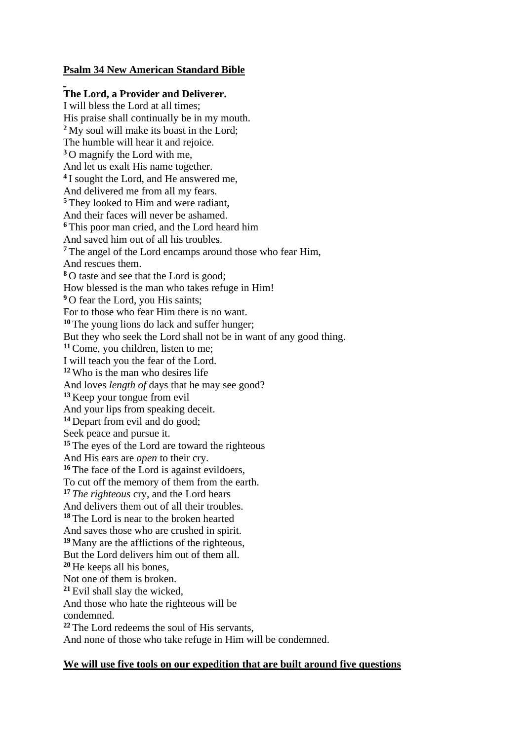## **Psalm 34 New American Standard Bible**

## **The Lord, a Provider and Deliverer.**

I will bless the Lord at all times; His praise shall continually be in my mouth. **<sup>2</sup>** My soul will make its boast in the Lord; The humble will hear it and rejoice. **<sup>3</sup>** O magnify the Lord with me, And let us exalt His name together. **4** I sought the Lord, and He answered me, And delivered me from all my fears. **<sup>5</sup>** They looked to Him and were radiant, And their faces will never be ashamed. **<sup>6</sup>** This poor man cried, and the Lord heard him And saved him out of all his troubles. **<sup>7</sup>** The angel of the Lord encamps around those who fear Him, And rescues them. **<sup>8</sup>** O taste and see that the Lord is good; How blessed is the man who takes refuge in Him! <sup>9</sup> O fear the Lord, you His saints; For to those who fear Him there is no want. **<sup>10</sup>** The young lions do lack and suffer hunger; But they who seek the Lord shall not be in want of any good thing. **<sup>11</sup>**Come, you children, listen to me; I will teach you the fear of the Lord. **<sup>12</sup>** Who is the man who desires life And loves *length of* days that he may see good? **<sup>13</sup>** Keep your tongue from evil And your lips from speaking deceit. **<sup>14</sup>** Depart from evil and do good; Seek peace and pursue it. **<sup>15</sup>** The eyes of the Lord are toward the righteous And His ears are *open* to their cry. <sup>16</sup> The face of the Lord is against evildoers. To cut off the memory of them from the earth. **<sup>17</sup>** *The righteous* cry, and the Lord hears And delivers them out of all their troubles. **<sup>18</sup>** The Lord is near to the broken hearted And saves those who are crushed in spirit. **<sup>19</sup>** Many are the afflictions of the righteous, But the Lord delivers him out of them all. **<sup>20</sup>** He keeps all his bones, Not one of them is broken. **<sup>21</sup>** Evil shall slay the wicked, And those who hate the righteous will be condemned. **<sup>22</sup>** The Lord redeems the soul of His servants, And none of those who take refuge in Him will be condemned.

## **We will use five tools on our expedition that are built around five questions**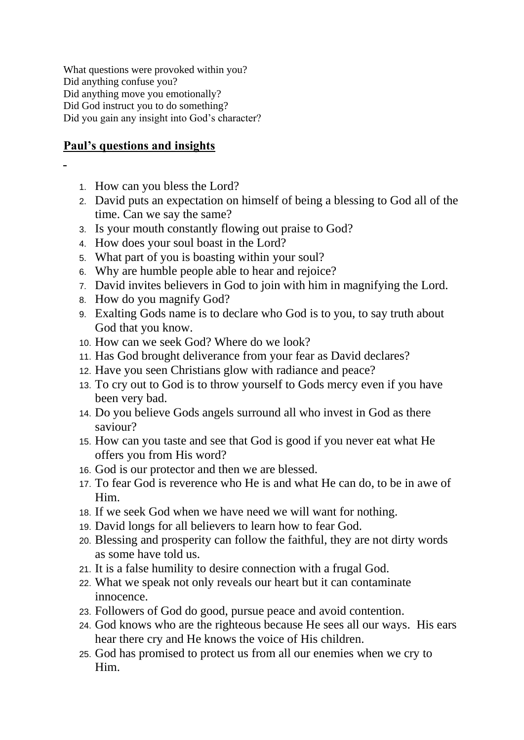What questions were provoked within you? Did anything confuse you? Did anything move you emotionally? Did God instruct you to do something? Did you gain any insight into God's character?

## **Paul's questions and insights**

- 1. How can you bless the Lord?
- 2. David puts an expectation on himself of being a blessing to God all of the time. Can we say the same?
- 3. Is your mouth constantly flowing out praise to God?
- 4. How does your soul boast in the Lord?
- 5. What part of you is boasting within your soul?
- 6. Why are humble people able to hear and rejoice?
- 7. David invites believers in God to join with him in magnifying the Lord.
- 8. How do you magnify God?
- 9. Exalting Gods name is to declare who God is to you, to say truth about God that you know.
- 10. How can we seek God? Where do we look?
- 11. Has God brought deliverance from your fear as David declares?
- 12. Have you seen Christians glow with radiance and peace?
- 13. To cry out to God is to throw yourself to Gods mercy even if you have been very bad.
- 14. Do you believe Gods angels surround all who invest in God as there saviour?
- 15. How can you taste and see that God is good if you never eat what He offers you from His word?
- 16. God is our protector and then we are blessed.
- 17. To fear God is reverence who He is and what He can do, to be in awe of Him.
- 18. If we seek God when we have need we will want for nothing.
- 19. David longs for all believers to learn how to fear God.
- 20. Blessing and prosperity can follow the faithful, they are not dirty words as some have told us.
- 21. It is a false humility to desire connection with a frugal God.
- 22. What we speak not only reveals our heart but it can contaminate innocence.
- 23. Followers of God do good, pursue peace and avoid contention.
- 24. God knows who are the righteous because He sees all our ways. His ears hear there cry and He knows the voice of His children.
- 25. God has promised to protect us from all our enemies when we cry to Him.